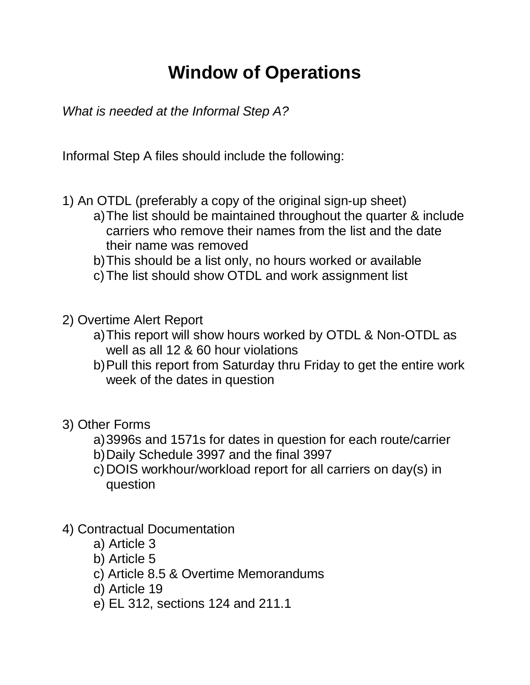## **Window of Operations**

*What is needed at the Informal Step A?* 

Informal Step A files should include the following:

- 1) An OTDL (preferably a copy of the original sign-up sheet)
	- a) The list should be maintained throughout the quarter & include carriers who remove their names from the list and the date their name was removed
	- b) This should be a list only, no hours worked or available
	- c) The list should show OTDL and work assignment list
- 2) Overtime Alert Report
	- a) This report will show hours worked by OTDL & Non-OTDL as well as all 12 & 60 hour violations
	- b) Pull this report from Saturday thru Friday to get the entire work week of the dates in question
- 3) Other Forms
	- a) 3996s and 1571s for dates in question for each route/carrier
	- b) Daily Schedule 3997 and the final 3997
	- c) DOIS workhour/workload report for all carriers on day(s) in question
- 4) Contractual Documentation
	- a) Article 3
	- b) Article 5
	- c) Article 8.5 & Overtime Memorandums
	- d) Article 19
	- e) EL 312, sections 124 and 211.1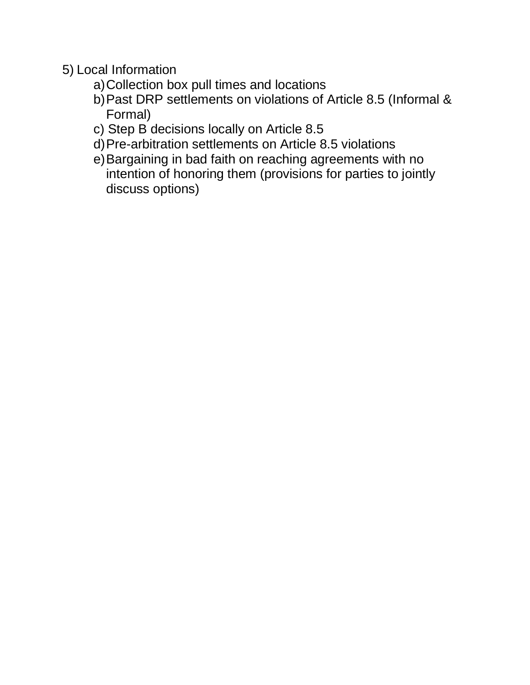- 5) Local Information
	- a) Collection box pull times and locations
	- b) Past DRP settlements on violations of Article 8.5 (Informal & Formal)
	- c) Step B decisions locally on Article 8.5
	- d) Pre-arbitration settlements on Article 8.5 violations
	- e) Bargaining in bad faith on reaching agreements with no intention of honoring them (provisions for parties to jointly discuss options)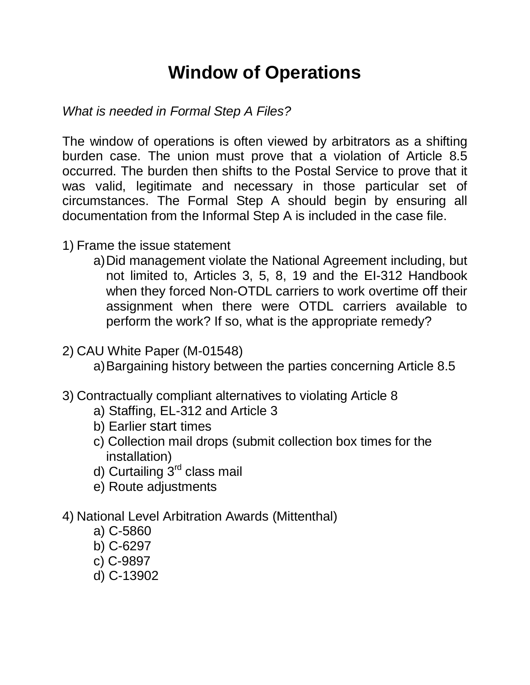## **Window of Operations**

*What is needed in Formal Step A Files?* 

The window of operations is often viewed by arbitrators as a shifting burden case. The union must prove that a violation of Article 8.5 occurred. The burden then shifts to the Postal Service to prove that it was valid, legitimate and necessary in those particular set of circumstances. The Formal Step A should begin by ensuring all documentation from the Informal Step A is included in the case file.

- 1) Frame the issue statement
	- a) Did management violate the National Agreement including, but not limited to, Articles 3, 5, 8, 19 and the EI-312 Handbook when they forced Non-OTDL carriers to work overtime off their assignment when there were OTDL carriers available to perform the work? If so, what is the appropriate remedy?
- 2) CAU White Paper (M-01548)

a) Bargaining history between the parties concerning Article 8.5

- 3) Contractually compliant alternatives to violating Article 8
	- a) Staffing, EL-312 and Article 3
	- b) Earlier start times
	- c) Collection mail drops (submit collection box times for the installation)
	- d) Curtailing  $3<sup>rd</sup>$  class mail
	- e) Route adjustments

## 4) National Level Arbitration Awards (Mittenthal)

- a) C-5860
- b) C-6297
- c) C-9897
- d) C-13902